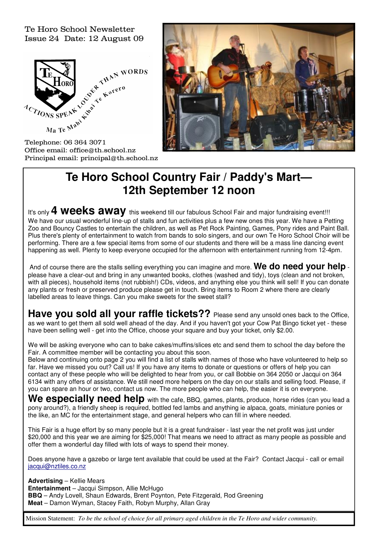Te Horo School Newsletter Issue 24 Date: 12 August 09



Office email: office@th.school.nz Principal email: principal@th.school.nz



# **Te Horo School Country Fair / Paddy's Mart— 12th September 12 noon**

It's only **4 weeks away** this weekend till our fabulous School Fair and major fundraising event!!! We have our usual wonderful line-up of stalls and fun activities plus a few new ones this year. We have a Petting Zoo and Bouncy Castles to entertain the children, as well as Pet Rock Painting, Games, Pony rides and Paint Ball. Plus there's plenty of entertainment to watch from bands to solo singers, and our own Te Horo School Choir will be performing. There are a few special items from some of our students and there will be a mass line dancing event happening as well. Plenty to keep everyone occupied for the afternoon with entertainment running from 12-4pm.

And of course there are the stalls selling everything you can imagine and more. **We do need your help** please have a clear-out and bring in any unwanted books, clothes (washed and tidy), toys (clean and not broken, with all pieces), household items (not rubbish!) CDs, videos, and anything else you think will sell! If you can donate any plants or fresh or preserved produce please get in touch. Bring items to Room 2 where there are clearly labelled areas to leave things. Can you make sweets for the sweet stall?

**Have you sold all your raffle tickets??** Please send any unsold ones back to the Office, as we want to get them all sold well ahead of the day. And if you haven't got your Cow Pat Bingo ticket yet - these have been selling well - get into the Office, choose your square and buy your ticket, only \$2.00.

We will be asking everyone who can to bake cakes/muffins/slices etc and send them to school the day before the Fair. A committee member will be contacting you about this soon.

Below and continuing onto page 2 you will find a list of stalls with names of those who have volunteered to help so far. Have we missed you out? Call us! If you have any items to donate or questions or offers of help you can contact any of these people who will be delighted to hear from you, or call Bobbie on 364 2050 or Jacqui on 364 6134 with any offers of assistance. We still need more helpers on the day on our stalls and selling food. Please, if you can spare an hour or two, contact us now. The more people who can help, the easier it is on everyone.

We especially need help with the cafe, BBQ, games, plants, produce, horse rides (can you lead a pony around?), a friendly sheep is required, bottled fed lambs and anything ie alpaca, goats, miniature ponies or the like, an MC for the entertainment stage, and general helpers who can fill in where needed.

This Fair is a huge effort by so many people but it is a great fundraiser - last year the net profit was just under \$20,000 and this year we are aiming for \$25,000! That means we need to attract as many people as possible and offer them a wonderful day filled with lots of ways to spend their money.

Does anyone have a gazebo or large tent available that could be used at the Fair? Contact Jacqui - call or email jacqui@nztiles.co.nz

**Advertising** – Kellie Mears **Entertainment** – Jacqui Simpson, Allie McHugo **BBQ** – Andy Lovell, Shaun Edwards, Brent Poynton, Pete Fitzgerald, Rod Greening **Meat** – Damon Wyman, Stacey Faith, Robyn Murphy, Allan Gray

Mission Statement: *To be the school of choice for all primary aged children in the Te Horo and wider community.*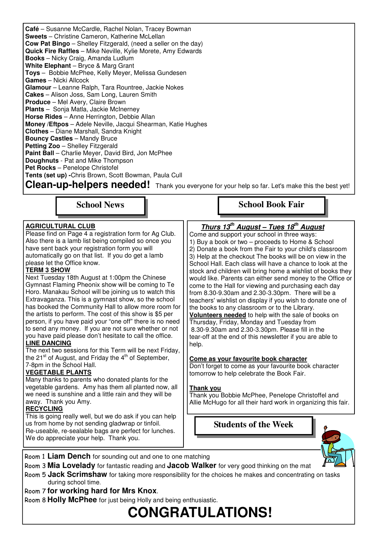**Café** – Susanne McCardle, Rachel Nolan, Tracey Bowman **Sweets** – Christine Cameron, Katherine McLellan **Cow Pat Bingo** – Shelley Fitzgerald, (need a seller on the day) **Quick Fire Raffles** – Mike Neville, Kylie Morete, Amy Edwards **Books** – Nicky Craig, Amanda Ludlum **White Elephant** – Bryce & Marg Grant **Toys** – Bobbie McPhee, Kelly Meyer, Melissa Gundesen **Games** – Nicki Allcock **Glamour** – Leanne Ralph, Tara Rountree, Jackie Nokes **Cakes** – Alison Joss, Sam Long, Lauren Smith **Produce** – Mel Avery, Claire Brown **Plants** – Sonja Matla, Jackie McInerney **Horse Rides** – Anne Herrington, Debbie Allan **Money /Eftpos** – Adele Neville, Jacqui Shearman, Katie Hughes **Clothes** – Diane Marshall, Sandra Knight **Bouncy Castles** – Mandy Bruce **Petting Zoo** – Shelley Fitzgerald **Paint Ball** – Charlie Meyer, David Bird, Jon McPhee **Doughnuts** - Pat and Mike Thompson **Pet Rocks** – Penelope Christofel **Tents (set up) -**Chris Brown, Scott Bowman, Paula Cull

**Clean-up-helpers needed!** Thank you everyone for your help so far. Let's make this the best yet!

**School News** 

#### **AGRICULTURAL CLUB**

Please find on Page 4 a registration form for Ag Club. Also there is a lamb list being compiled so once you have sent back your registration form you will automatically go on that list. If you do get a lamb please let the Office know.

#### **TERM 3 SHOW**

Next Tuesday 18th August at 1:00pm the Chinese Gymnast Flaming Pheonix show will be coming to Te Horo. Manakau School will be joining us to watch this Extravaganza. This is a gymnast show, so the school has booked the Community Hall to allow more room for the artists to perform. The cost of this show is \$5 per person, if you have paid your "one off" there is no need to send any money. If you are not sure whether or not you have paid please don't hesitate to call the office.

#### **LINE DANCING**

The next two sessions for this Term will be next Friday, the 21 $st$  of August, and Friday the  $4<sup>th</sup>$  of September, 7-8pm in the School Hall.

#### **VEGETABLE PLANTS**

Many thanks to parents who donated plants for the vegetable gardens. Amy has them all planted now, all we need is sunshine and a little rain and they will be away. Thank you Amy.

#### **RECYCLING**

This is going really well, but we do ask if you can help us from home by not sending gladwrap or tinfoil. Re-useable, re-sealable bags are perfect for lunches. We do appreciate your help. Thank you.

# **School Book Fair**

## **Thurs 13th August – Tues 18th August**

Come and support your school in three ways: 1) Buy a book or two – proceeds to Home & School 2) Donate a book from the Fair to your child's classroom 3) Help at the checkout The books will be on view in the School Hall. Each class will have a chance to look at the stock and children will bring home a wishlist of books they would like. Parents can either send money to the Office or come to the Hall for viewing and purchasing each day from 8.30-9.30am and 2.30-3.30pm. There will be a teachers' wishlist on display if you wish to donate one of the books to any classroom or to the Library.

**Volunteers needed** to help with the sale of books on Thursday, Friday, Monday and Tuesday from 8.30-9.30am and 2.30-3.30pm. Please fill in the tear-off at the end of this newsletter if you are able to help.

#### **Come as your favourite book character**

Don't forget to come as your favourite book character tomorrow to help celebrate the Book Fair.

#### **Thank you**

Thank you Bobbie McPhee, Penelope Christoffel and Allie McHugo for all their hard work in organizing this fair.

**Students of the Week** 



- Room 1 **Liam Dench** for sounding out and one to one matching
- Room 3 **Mia Lovelady** for fantastic reading and **Jacob Walker** for very good thinking on the mat
- Room 5 **Jack Scrimshaw** for taking more responsibility for the choices he makes and concentrating on tasks during school time.
- Room 7 **for working hard for Mrs Knox**.

Room 8 **Holly McPhee** for just being Holly and being enthusiastic.

# **CONGRATULATIONS!**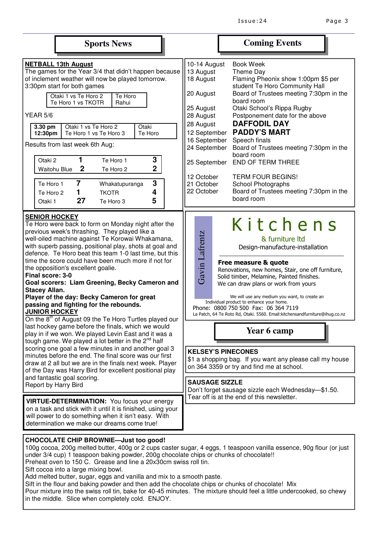|                                                                                                                                                                                                                                                                                                                                                                                                                                                                                                                                                                                                                                                                                                                                                                                                                                                                                                                                                                                                                                                                                                                                                                 |                                                                                                                                                                                                                                            | <b>Sports News</b>                                                                                                                                                                                                                |                                                        |                                                                                                                                                                                                                                                                                                                                                                                                                                                                                                                                                                                                                                                                                                             |                                            | <b>Coming Events</b>                                                                                                                                                                                                                                                                                                                                                                                                                                                                                   |  |
|-----------------------------------------------------------------------------------------------------------------------------------------------------------------------------------------------------------------------------------------------------------------------------------------------------------------------------------------------------------------------------------------------------------------------------------------------------------------------------------------------------------------------------------------------------------------------------------------------------------------------------------------------------------------------------------------------------------------------------------------------------------------------------------------------------------------------------------------------------------------------------------------------------------------------------------------------------------------------------------------------------------------------------------------------------------------------------------------------------------------------------------------------------------------|--------------------------------------------------------------------------------------------------------------------------------------------------------------------------------------------------------------------------------------------|-----------------------------------------------------------------------------------------------------------------------------------------------------------------------------------------------------------------------------------|--------------------------------------------------------|-------------------------------------------------------------------------------------------------------------------------------------------------------------------------------------------------------------------------------------------------------------------------------------------------------------------------------------------------------------------------------------------------------------------------------------------------------------------------------------------------------------------------------------------------------------------------------------------------------------------------------------------------------------------------------------------------------------|--------------------------------------------|--------------------------------------------------------------------------------------------------------------------------------------------------------------------------------------------------------------------------------------------------------------------------------------------------------------------------------------------------------------------------------------------------------------------------------------------------------------------------------------------------------|--|
| <b>YEAR 5/6</b><br>3.30 pm<br>12:30pm<br>Otaki 2<br>Te Horo 1<br>Te Horo 2<br>Otaki 1                                                                                                                                                                                                                                                                                                                                                                                                                                                                                                                                                                                                                                                                                                                                                                                                                                                                                                                                                                                                                                                                           | <b>NETBALL 13th August</b><br>3:30pm start for both games<br>Otaki 1 vs Te Horo 2<br>Te Horo 1 vs TKOTR<br>Otaki 1 vs Te Horo 2<br>Results from last week 6th Aug:<br>1<br>$\boldsymbol{2}$<br><b>Waitohu Blue</b><br>$\overline{7}$<br>27 | The games for the Year 3/4 that didn't happen because<br>of inclement weather will now be played tomorrow.<br>Te Horo<br>Rahui<br>Te Horo 1 vs Te Horo 3<br>Te Horo 1<br>Te Horo 2<br>Whakatupuranga<br><b>TKOTR</b><br>Te Horo 3 | Otaki<br>Te Horo<br>3<br>$\overline{2}$<br>3<br>4<br>5 | 10-14 August<br>13 August<br>18 August<br>20 August<br>25 August<br>28 August<br>28 August<br>12 September<br>16 September<br>24 September<br>25 September<br>12 October<br>21 October<br>22 October                                                                                                                                                                                                                                                                                                                                                                                                                                                                                                        |                                            | <b>Book Week</b><br>Theme Day<br>Flaming Pheonix show 1:00pm \$5 per<br>student Te Horo Community Hall<br>Board of Trustees meeting 7:30pm in the<br>board room<br>Otaki School's Rippa Rugby<br>Postponement date for the above<br><b>DAFFODIL DAY</b><br><b>PADDY'S MART</b><br>Speech finals<br>Board of Trustees meeting 7:30pm in the<br>board room<br><b>END OF TERM THREE</b><br><b>TERM FOUR BEGINS!</b><br><b>School Photographs</b><br>Board of Trustees meeting 7:30pm in the<br>board room |  |
| <b>SENIOR HOCKEY</b><br>Te Horo were back to form on Monday night after the<br>previous week's thrashing. They played like a<br>well-oiled machine against Te Korowai Whakamana,<br>with superb passing, positional play, shots at goal and<br>defence. Te Horo beat this team 1-0 last time, but this<br>time the score could have been much more if not for<br>the opposition's excellent goalie.<br>Final score: 3-0<br>Goal scorers: Liam Greening, Becky Cameron and<br><b>Stacey Allan.</b><br>Player of the day: Becky Cameron for great<br>passing and fighting for the rebounds.<br><b>JUNIOR HOCKEY</b><br>On the 8 <sup>th</sup> of August 09 the Te Horo Turtles played our<br>last hockey game before the finals, which we would<br>play in if we won. We played Levin East and it was a<br>tough game. We played a lot better in the $2^{nd}$ half<br>scoring one goal a few minutes in and another goal 3<br>minutes before the end. The final score was our first<br>draw at 2 all but we are in the finals next week. Player<br>of the Day was Harry Bird for excellent positional play<br>and fantastic goal scoring.<br>Report by Harry Bird |                                                                                                                                                                                                                                            |                                                                                                                                                                                                                                   |                                                        | Kitchens<br>Gavin Lafrentz<br>& furniture Itd<br>Design-manufacture-installation<br>Free measure & quote<br>Renovations, new homes, Stair, one off furniture,<br>Solid timber, Melamine, Painted finishes.<br>We can draw plans or work from yours<br>We will use any medium you want, to create an<br>Individual product to enhance your home.<br>Phone: 0800 750 500 Fax: 06 364 7119<br>La Patch, 64 Te Roto Rd, Otaki. 5560. Email: kitchensandfurniture@ihug.co.nz<br>Year 6 camp<br><b>KELSEY'S PINECONES</b><br>\$1 a shopping bag. If you want any please call my house<br>on 364 3359 or try and find me at school.<br><b>SAUSAGE SIZZLE</b><br>Don't forget sausage sizzle each Wednesday-\$1.50. |                                            |                                                                                                                                                                                                                                                                                                                                                                                                                                                                                                        |  |
| VIRTUE-DETERMINATION: You focus your energy<br>on a task and stick with it until it is finished, using your<br>will power to do something when it isn't easy. With<br>determination we make our dreams come true!                                                                                                                                                                                                                                                                                                                                                                                                                                                                                                                                                                                                                                                                                                                                                                                                                                                                                                                                               |                                                                                                                                                                                                                                            |                                                                                                                                                                                                                                   |                                                        |                                                                                                                                                                                                                                                                                                                                                                                                                                                                                                                                                                                                                                                                                                             | Tear off is at the end of this newsletter. |                                                                                                                                                                                                                                                                                                                                                                                                                                                                                                        |  |
|                                                                                                                                                                                                                                                                                                                                                                                                                                                                                                                                                                                                                                                                                                                                                                                                                                                                                                                                                                                                                                                                                                                                                                 | COL ATE CUID DOOWNIE                                                                                                                                                                                                                       |                                                                                                                                                                                                                                   |                                                        |                                                                                                                                                                                                                                                                                                                                                                                                                                                                                                                                                                                                                                                                                                             |                                            |                                                                                                                                                                                                                                                                                                                                                                                                                                                                                                        |  |

## **CHOCOLATE CHIP BROWNIE—Just too good!**

100g cocoa, 200g melted butter, 400g or 2 cups caster sugar, 4 eggs, 1 teaspoon vanilla essence, 90g flour (or just under 3/4 cup) 1 teaspoon baking powder, 200g chocolate chips or chunks of chocolate!!

Preheat oven to 150 C. Grease and line a 20x30cm swiss roll tin.

Sift cocoa into a large mixing bowl.

Add melted butter, sugar, eggs and vanilla and mix to a smooth paste.

Sift in the flour and baking powder and then add the chocolate chips or chunks of chocolate! Mix

Pour mixture into the swiss roll tin, bake for 40-45 minutes. The mixture should feel a little undercooked, so chewy in the middle. Slice when completely cold. ENJOY.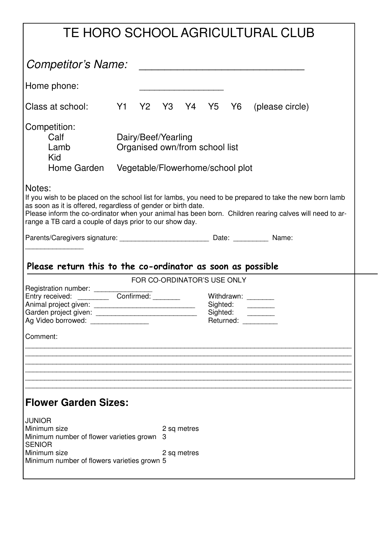| TE HORO SCHOOL AGRICULTURAL CLUB                                                                                                                                                                                                                                                                                                                          |  |  |                                                                    |             |  |  |                                   |
|-----------------------------------------------------------------------------------------------------------------------------------------------------------------------------------------------------------------------------------------------------------------------------------------------------------------------------------------------------------|--|--|--------------------------------------------------------------------|-------------|--|--|-----------------------------------|
| Competitor's Name:                                                                                                                                                                                                                                                                                                                                        |  |  |                                                                    |             |  |  |                                   |
| Home phone:                                                                                                                                                                                                                                                                                                                                               |  |  |                                                                    |             |  |  |                                   |
| Class at school:                                                                                                                                                                                                                                                                                                                                          |  |  |                                                                    |             |  |  | Y1 Y2 Y3 Y4 Y5 Y6 (please circle) |
| Competition:<br>Calf<br>Dairy/Beef/Yearling<br>Organised own/from school list<br>Lamb<br>Kid<br>Home Garden<br>Vegetable/Flowerhome/school plot                                                                                                                                                                                                           |  |  |                                                                    |             |  |  |                                   |
| Notes:<br>If you wish to be placed on the school list for lambs, you need to be prepared to take the new born lamb<br>as soon as it is offered, regardless of gender or birth date.<br>Please inform the co-ordinator when your animal has been born. Children rearing calves will need to ar-<br>range a TB card a couple of days prior to our show day. |  |  |                                                                    |             |  |  |                                   |
|                                                                                                                                                                                                                                                                                                                                                           |  |  |                                                                    |             |  |  |                                   |
| Please return this to the co-ordinator as soon as possible                                                                                                                                                                                                                                                                                                |  |  |                                                                    |             |  |  |                                   |
|                                                                                                                                                                                                                                                                                                                                                           |  |  | FOR CO-ORDINATOR'S USE ONLY                                        |             |  |  |                                   |
| Registration number: ______<br>Entry received: ____________ Confirmed: _______<br>Ag Video borrowed: ________________                                                                                                                                                                                                                                     |  |  | Withdrawn: ________<br>Sighted:<br>Sighted:<br>Returned: _________ |             |  |  |                                   |
| Comment:                                                                                                                                                                                                                                                                                                                                                  |  |  |                                                                    |             |  |  |                                   |
|                                                                                                                                                                                                                                                                                                                                                           |  |  |                                                                    |             |  |  |                                   |
|                                                                                                                                                                                                                                                                                                                                                           |  |  |                                                                    |             |  |  |                                   |
| <b>Flower Garden Sizes:</b>                                                                                                                                                                                                                                                                                                                               |  |  |                                                                    |             |  |  |                                   |
| <b>JUNIOR</b><br>Minimum size<br>Minimum number of flower varieties grown<br><b>SENIOR</b>                                                                                                                                                                                                                                                                |  |  | З                                                                  | 2 sq metres |  |  |                                   |
| Minimum size<br>Minimum number of flowers varieties grown 5                                                                                                                                                                                                                                                                                               |  |  |                                                                    | 2 sq metres |  |  |                                   |